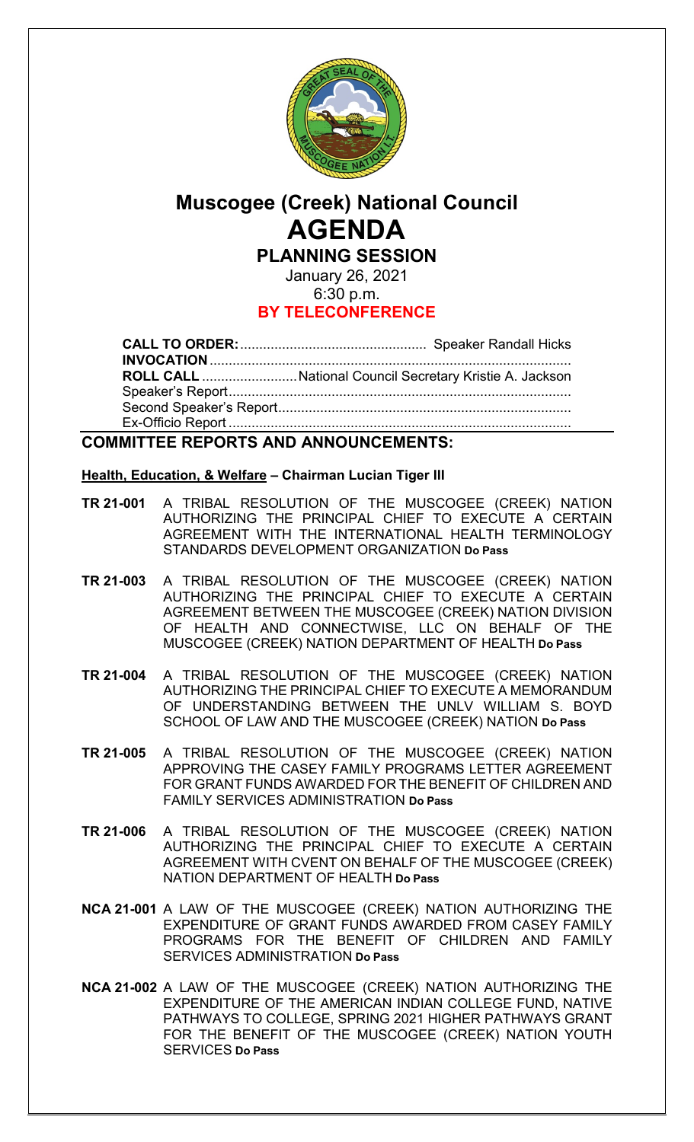

# **Muscogee (Creek) National Council AGENDA PLANNING SESSION**

January 26, 2021 6:30 p.m.

# **BY TELECONFERENCE**

**CALL TO ORDER:**................................................. Speaker Randall Hicks **INVOCATION**............................................................................................... **ROLL CALL** .........................National Council Secretary Kristie A. Jackson Speaker's Report.......................................................................................... Second Speaker's Report............................................................................. Ex-Officio Report ..........................................................................................

# **COMMITTEE REPORTS AND ANNOUNCEMENTS:**

## **Health, Education, & Welfare – Chairman Lucian Tiger III**

- **TR 21-001** A TRIBAL RESOLUTION OF THE MUSCOGEE (CREEK) NATION AUTHORIZING THE PRINCIPAL CHIEF TO EXECUTE A CERTAIN AGREEMENT WITH THE INTERNATIONAL HEALTH TERMINOLOGY STANDARDS DEVELOPMENT ORGANIZATION **Do Pass**
- **TR 21-003** A TRIBAL RESOLUTION OF THE MUSCOGEE (CREEK) NATION AUTHORIZING THE PRINCIPAL CHIEF TO EXECUTE A CERTAIN AGREEMENT BETWEEN THE MUSCOGEE (CREEK) NATION DIVISION OF HEALTH AND CONNECTWISE, LLC ON BEHALF OF THE MUSCOGEE (CREEK) NATION DEPARTMENT OF HEALTH **Do Pass**
- **TR 21-004** A TRIBAL RESOLUTION OF THE MUSCOGEE (CREEK) NATION AUTHORIZING THE PRINCIPAL CHIEF TO EXECUTE A MEMORANDUM OF UNDERSTANDING BETWEEN THE UNLV WILLIAM S. BOYD SCHOOL OF LAW AND THE MUSCOGEE (CREEK) NATION **Do Pass**
- **TR 21-005** A TRIBAL RESOLUTION OF THE MUSCOGEE (CREEK) NATION APPROVING THE CASEY FAMILY PROGRAMS LETTER AGREEMENT FOR GRANT FUNDS AWARDED FOR THE BENEFIT OF CHILDREN AND FAMILY SERVICES ADMINISTRATION **Do Pass**
- **TR 21-006** A TRIBAL RESOLUTION OF THE MUSCOGEE (CREEK) NATION AUTHORIZING THE PRINCIPAL CHIEF TO EXECUTE A CERTAIN AGREEMENT WITH CVENT ON BEHALF OF THE MUSCOGEE (CREEK) NATION DEPARTMENT OF HEALTH **Do Pass**
- **NCA 21-001** A LAW OF THE MUSCOGEE (CREEK) NATION AUTHORIZING THE EXPENDITURE OF GRANT FUNDS AWARDED FROM CASEY FAMILY PROGRAMS FOR THE BENEFIT OF CHILDREN AND FAMILY SERVICES ADMINISTRATION **Do Pass**
- **NCA 21-002** A LAW OF THE MUSCOGEE (CREEK) NATION AUTHORIZING THE EXPENDITURE OF THE AMERICAN INDIAN COLLEGE FUND, NATIVE PATHWAYS TO COLLEGE, SPRING 2021 HIGHER PATHWAYS GRANT FOR THE BENEFIT OF THE MUSCOGEE (CREEK) NATION YOUTH SERVICES **Do Pass**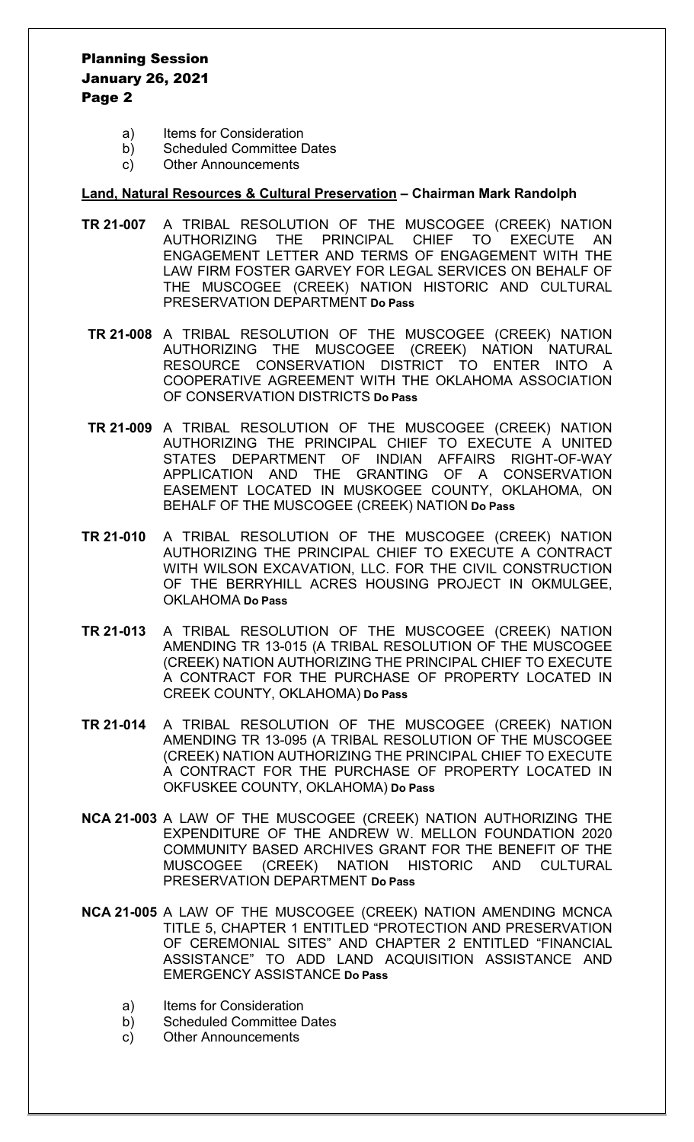# Planning Session January 26, 2021 Page 2

- a) Items for Consideration
- b) Scheduled Committee Dates
- c) Other Announcements

#### **Land, Natural Resources & Cultural Preservation – Chairman Mark Randolph**

- **TR 21-007** A TRIBAL RESOLUTION OF THE MUSCOGEE (CREEK) NATION AUTHORIZING THE PRINCIPAL CHIEF TO EXECUTE AN ENGAGEMENT LETTER AND TERMS OF ENGAGEMENT WITH THE LAW FIRM FOSTER GARVEY FOR LEGAL SERVICES ON BEHALF OF THE MUSCOGEE (CREEK) NATION HISTORIC AND CULTURAL PRESERVATION DEPARTMENT **Do Pass**
- **TR 21-008** A TRIBAL RESOLUTION OF THE MUSCOGEE (CREEK) NATION AUTHORIZING THE MUSCOGEE (CREEK) NATION NATURAL RESOURCE CONSERVATION DISTRICT TO ENTER INTO A COOPERATIVE AGREEMENT WITH THE OKLAHOMA ASSOCIATION OF CONSERVATION DISTRICTS **Do Pass**
- **TR 21-009** A TRIBAL RESOLUTION OF THE MUSCOGEE (CREEK) NATION AUTHORIZING THE PRINCIPAL CHIEF TO EXECUTE A UNITED STATES DEPARTMENT OF INDIAN AFFAIRS RIGHT-OF-WAY APPLICATION AND THE GRANTING OF A CONSERVATION EASEMENT LOCATED IN MUSKOGEE COUNTY, OKLAHOMA, ON BEHALF OF THE MUSCOGEE (CREEK) NATION **Do Pass**
- **TR 21-010** A TRIBAL RESOLUTION OF THE MUSCOGEE (CREEK) NATION AUTHORIZING THE PRINCIPAL CHIEF TO EXECUTE A CONTRACT WITH WILSON EXCAVATION, LLC. FOR THE CIVIL CONSTRUCTION OF THE BERRYHILL ACRES HOUSING PROJECT IN OKMULGEE, OKLAHOMA **Do Pass**
- **TR 21-013** A TRIBAL RESOLUTION OF THE MUSCOGEE (CREEK) NATION AMENDING TR 13-015 (A TRIBAL RESOLUTION OF THE MUSCOGEE (CREEK) NATION AUTHORIZING THE PRINCIPAL CHIEF TO EXECUTE A CONTRACT FOR THE PURCHASE OF PROPERTY LOCATED IN CREEK COUNTY, OKLAHOMA) **Do Pass**
- **TR 21-014** A TRIBAL RESOLUTION OF THE MUSCOGEE (CREEK) NATION AMENDING TR 13-095 (A TRIBAL RESOLUTION OF THE MUSCOGEE (CREEK) NATION AUTHORIZING THE PRINCIPAL CHIEF TO EXECUTE A CONTRACT FOR THE PURCHASE OF PROPERTY LOCATED IN OKFUSKEE COUNTY, OKLAHOMA) **Do Pass**
- **NCA 21-003** A LAW OF THE MUSCOGEE (CREEK) NATION AUTHORIZING THE EXPENDITURE OF THE ANDREW W. MELLON FOUNDATION 2020 COMMUNITY BASED ARCHIVES GRANT FOR THE BENEFIT OF THE MUSCOGEE (CREEK) NATION HISTORIC AND CULTURAL PRESERVATION DEPARTMENT **Do Pass**
- **NCA 21-005** A LAW OF THE MUSCOGEE (CREEK) NATION AMENDING MCNCA TITLE 5, CHAPTER 1 ENTITLED "PROTECTION AND PRESERVATION OF CEREMONIAL SITES" AND CHAPTER 2 ENTITLED "FINANCIAL ASSISTANCE" TO ADD LAND ACQUISITION ASSISTANCE AND EMERGENCY ASSISTANCE **Do Pass**
	- a) Items for Consideration
	- b) Scheduled Committee Dates
	- c) Other Announcements